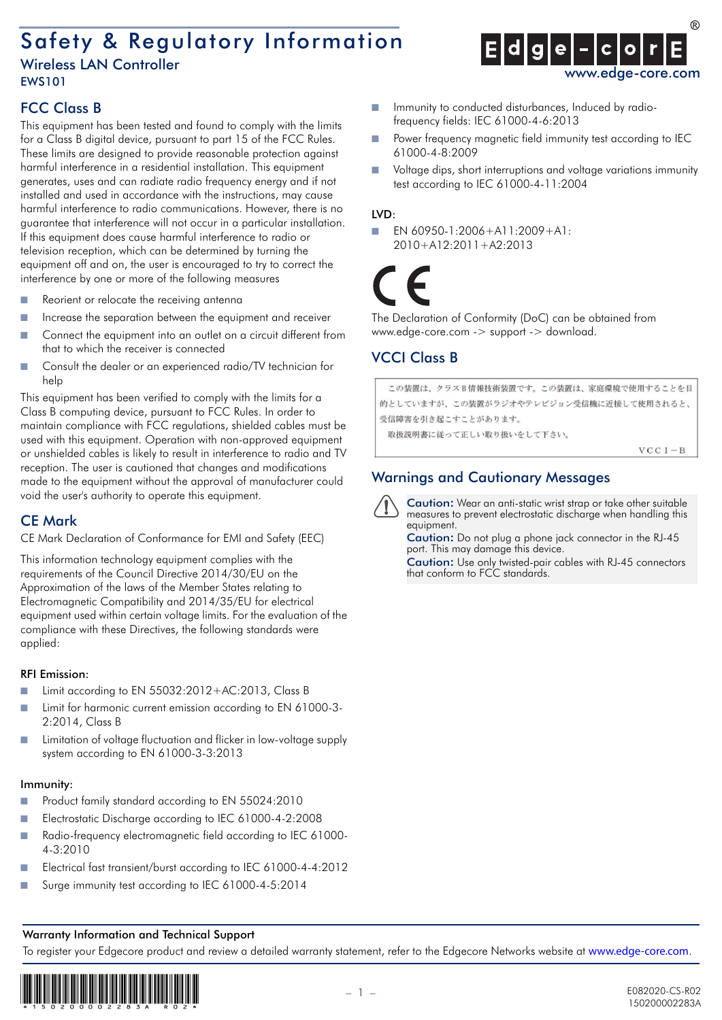# Safety & Regulatory Information

### Wireless LAN Controller EWS101



# FCC Class B

This equipment has been tested and found to comply with the limits for a Class B digital device, pursuant to part 15 of the FCC Rules. These limits are designed to provide reasonable protection against harmful interference in a residential installation. This equipment generates, uses and can radiate radio frequency energy and if not installed and used in accordance with the instructions, may cause harmful interference to radio communications. However, there is no guarantee that interference will not occur in a particular installation. If this equipment does cause harmful interference to radio or television reception, which can be determined by turning the equipment off and on, the user is encouraged to try to correct the interference by one or more of the following measures

- Reorient or relocate the receiving antenna
- Increase the separation between the equipment and receiver
- Connect the equipment into an outlet on a circuit different from that to which the receiver is connected
- Consult the dealer or an experienced radio/TV technician for help

This equipment has been verified to comply with the limits for a Class B computing device, pursuant to FCC Rules. In order to maintain compliance with FCC regulations, shielded cables must be used with this equipment. Operation with non-approved equipment or unshielded cables is likely to result in interference to radio and TV reception. The user is cautioned that changes and modifications made to the equipment without the approval of manufacturer could void the user's authority to operate this equipment.

### CE Mark

CE Mark Declaration of Conformance for EMI and Safety (EEC)

This information technology equipment complies with the requirements of the Council Directive 2014/30/EU on the Approximation of the laws of the Member States relating to Electromagnetic Compatibility and 2014/35/EU for electrical equipment used within certain voltage limits. For the evaluation of the compliance with these Directives, the following standards were applied:

#### RFI Emission:

- Limit according to EN 55032:2012+AC:2013, Class B
- Limit for harmonic current emission according to EN 61000-3-2:2014, Class B
- Limitation of voltage fluctuation and flicker in low-voltage supply system according to EN 61000-3-3:2013

#### Immunity:

- Product family standard according to EN 55024:2010
- Electrostatic Discharge according to IEC 61000-4-2:2008
- Radio-frequency electromagnetic field according to IEC 61000-4-3:2010
- Electrical fast transient/burst according to IEC 61000-4-4:2012
- Surge immunity test according to IEC 61000-4-5:2014

#### ■ Immunity to conducted disturbances, Induced by radiofrequency fields: IEC 61000-4-6:2013

- Power frequency magnetic field immunity test according to IEC 61000-4-8:2009
- Voltage dips, short interruptions and voltage variations immunity test according to IEC 61000-4-11:2004

#### LVD:

■ EN 60950-1:2006+A11:2009+A1: 2010+A12:2011+A2:2013

The Declaration of Conformity (DoC) can be obtained from www.edge-core.com -> support -> download.

# VCCI Class B

```
この装置は、クラスB情報技術装置です。この装置は、家庭環境で使用することを目
的としていますが、この装置がラジオやテレビジョン受信機に近接して使用されると、
受信障害を引き起こすことがあります。
 取扱説明書に従って正しい取り扱いをして下さい。
                                  VCC I - B
```
## Warnings and Cautionary Messages

Caution**:** Wear an anti-static wrist strap or take other suitable measures to prevent electrostatic discharge when handling this equipment.

Caution**:** Do not plug a phone jack connector in the RJ-45 port. This may damage this device.

Caution**:** Use only twisted-pair cables with RJ-45 connectors that conform to FCC standards.

#### Warranty Information and Technical Support

To register your Edgecore product and review a detailed warranty statement, refer to the Edgecore Networks website at www.edge-core.com.